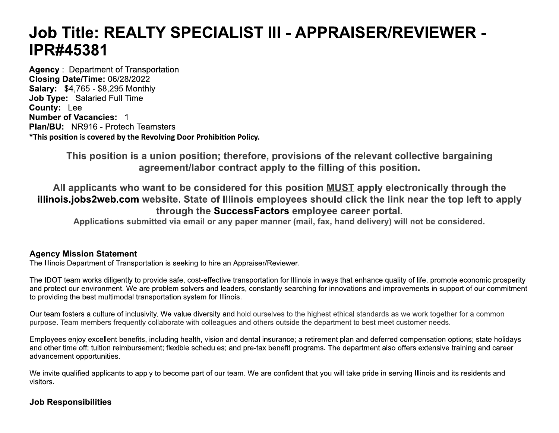# Job Title: REALTY SPECIALIST III - APPRAISER/REVIEWER -**IPR#45381**

**Agency: Department of Transportation** Closing Date/Time: 06/28/2022 **Salary: \$4,765 - \$8,295 Monthly** Job Type: Salaried Full Time **County: Lee** Number of Vacancies: 1 **Plan/BU: NR916 - Protech Teamsters** \*This position is covered by the Revolving Door Prohibition Policy.

> This position is a union position; therefore, provisions of the relevant collective bargaining agreement/labor contract apply to the filling of this position.

All applicants who want to be considered for this position MUST apply electronically through the illinois.jobs2web.com website. State of Illinois employees should click the link near the top left to apply through the SuccessFactors employee career portal.

Applications submitted via email or any paper manner (mail, fax, hand delivery) will not be considered.

#### **Agency Mission Statement**

The Illinois Department of Transportation is seeking to hire an Appraiser/Reviewer.

The IDOT team works diligently to provide safe, cost-effective transportation for Illinois in ways that enhance quality of life, promote economic prosperity and protect our environment. We are problem solvers and leaders, constantly searching for innovations and improvements in support of our commitment to providing the best multimodal transportation system for Illinois.

Our team fosters a culture of inclusivity. We value diversity and hold ourselves to the highest ethical standards as we work together for a common purpose. Team members frequently collaborate with colleagues and others outside the department to best meet customer needs.

Employees enjoy excellent benefits, including health, vision and dental insurance; a retirement plan and deferred compensation options; state holidays and other time off; tuition reimbursement; flexible schedules; and pre-tax benefit programs. The department also offers extensive training and career advancement opportunities.

We invite qualified applicants to apply to become part of our team. We are confident that you will take pride in serving Illinois and its residents and visitors.

# **Job Responsibilities**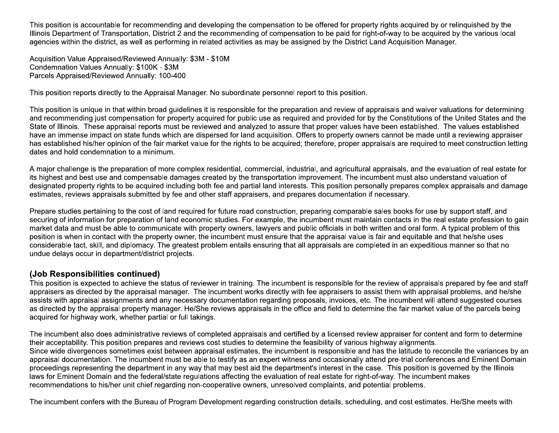This position is accountable for recommending and developing the compensation to be offered for property rights acquired by or relinguished by the Illinois Department of Transportation, District 2 and the recommending of compensation to be paid for right-of-way to be acquired by the various local agencies within the district, as well as performing in related activities as may be assigned by the District Land Acquisition Manager.

Acquisition Value Appraised/Reviewed Annually: \$3M - \$10M Condemnation Values Annually: \$100K - \$3M Parcels Appraised/Reviewed Annually: 100-400

This position reports directly to the Appraisal Manager. No subordinate personnel report to this position.

This position is unique in that within broad quidelines it is responsible for the preparation and review of appraisals and waiver valuations for determining and recommending just compensation for property acquired for public use as required and provided for by the Constitutions of the United States and the State of Illinois. These appraisal reports must be reviewed and analyzed to assure that proper values have been established. The values established have an immense impact on state funds which are dispersed for land acquisition. Offers to property owners cannot be made until a reviewing appraiser has established his/her opinion of the fair market value for the rights to be acquired; therefore, proper appraisals are required to meet construction letting dates and hold condemnation to a minimum.

A major challenge is the preparation of more complex residential, commercial, industrial, and agricultural appraisals, and the evaluation of real estate for its highest and best use and compensable damages created by the transportation improvement. The incumbent must also understand valuation of designated property rights to be acquired including both fee and partial land interests. This position personally prepares complex appraisals and damage estimates. reviews appraisals submitted by fee and other staff appraisers, and prepares documentation if necessary.

Prepare studies pertaining to the cost of land required for future road construction, preparing comparable sales books for use by support staff, and securing of information for preparation of land economic studies. For example, the incumbent must maintain contacts in the real estate profession to gain market data and must be able to communicate with property owners, lawyers and public officials in both written and oral form. A typical problem of this position is when in contact with the property owner, the incumbent must ensure that the appraisal value is fair and equitable and that he/she uses considerable tact, skill, and diplomacy. The greatest problem entails ensuring that all appraisals are completed in an expeditious manner so that no undue delays occur in department/district projects.

# (Job Responsibilities continued)

This position is expected to achieve the status of reviewer in training. The incumbent is responsible for the review of appraisals prepared by fee and staff appraisers as directed by the appraisal manager. The incumbent works directly with fee appraisers to assist them with appraisal problems, and he/she assists with appraisal assignments and any necessary documentation regarding proposals, invoices, etc. The incumbent will attend suggested courses as directed by the appraisal property manager. He/She reviews appraisals in the office and field to determine the fair market value of the parcels being acquired for highway work, whether partial or full takings.

The incumbent also does administrative reviews of completed appraisals and certified by a licensed review appraiser for content and form to determine their acceptability. This position prepares and reviews cost studies to determine the feasibility of various highway alignments. Since wide divergences sometimes exist between appraisal estimates, the incumbent is responsible and has the latitude to reconcile the variances by an appraisal documentation. The incumbent must be able to testify as an expert witness and occasionally attend pre-trial conferences and Eminent Domain proceedings representing the department in any way that may best aid the department's interest in the case. This position is governed by the Illinois laws for Eminent Domain and the federal/state regulations affecting the evaluation of real estate for right-of-way. The incumbent makes recommendations to his/her unit chief regarding non-cooperative owners, unresolved complaints, and potential problems.

The incumbent confers with the Bureau of Program Development regarding construction details, scheduling, and cost estimates. He/She meets with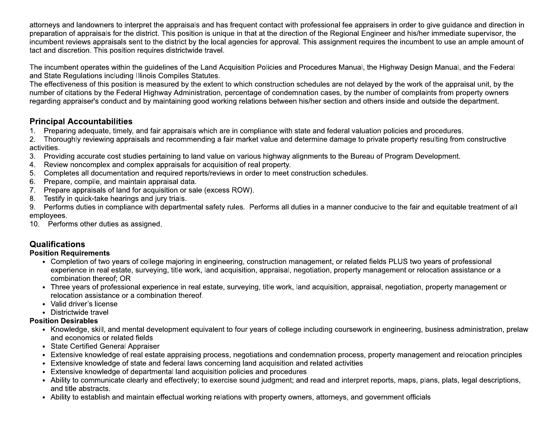attorneys and landowners to interpret the appraisals and has frequent contact with professional fee appraisers in order to give guidance and direction in preparation of appraisals for the district. This position is unique in that at the direction of the Regional Engineer and his/her immediate supervisor, the incumbent reviews appraisals sent to the district by the local agencies for approval. This assignment requires the incumbent to use an ample amount of tact and discretion. This position requires districtwide travel.

The incumbent operates within the quidelines of the Land Acquisition Policies and Procedures Manual, the Highway Design Manual, and the Federal and State Regulations including Illinois Compiles Statutes.

The effectiveness of this position is measured by the extent to which construction schedules are not delayed by the work of the appraisal unit, by the number of citations by the Federal Highway Administration, percentage of condemnation cases, by the number of complaints from property owners regarding appraiser's conduct and by maintaining good working relations between his/her section and others inside and outside the department.

## **Principal Accountabilities**

1. Preparing adequate, timely, and fair appraisals which are in compliance with state and federal valuation policies and procedures.

2. Thoroughly reviewing appraisals and recommending a fair market value and determine damage to private property resulting from constructive activities.

- 3. Providing accurate cost studies pertaining to land value on various highway alignments to the Bureau of Program Development.
- 4. Review noncomplex and complex appraisals for acquisition of real property.
- Completes all documentation and required reports/reviews in order to meet construction schedules.  $5.$
- Prepare, compile, and maintain appraisal data.  $6<sup>1</sup>$
- 7. Prepare appraisals of land for acquisition or sale (excess ROW).
- 8. Testify in quick-take hearings and jury trials.

9. Performs duties in compliance with departmental safety rules. Performs all duties in a manner conducive to the fair and equitable treatment of all employees.

10. Performs other duties as assigned.

# **Qualifications**

#### **Position Requirements**

- Completion of two years of college majoring in engineering, construction management, or related fields PLUS two years of professional experience in real estate, surveying, title work, land acquisition, appraisal, negotiation, property management or relocation assistance or a combination thereof; OR
- Three years of professional experience in real estate, surveying, title work, land acquisition, appraisal, negotiation, property management or relocation assistance or a combination thereof.
- Valid driver's license
- Districtwide travel

#### **Position Desirables**

- Knowledge, skill, and mental development equivalent to four years of college including coursework in engineering, business administration, prelaw and economics or related fields
- State Certified General Appraiser
- Extensive knowledge of real estate appraising process, negotiations and condemnation process, property management and relocation principles
- Extensive knowledge of state and federal laws concerning land acquisition and related activities
- Extensive knowledge of departmental land acquisition policies and procedures
- Ability to communicate clearly and effectively; to exercise sound judgment; and read and interpret reports, maps, plans, plats, legal descriptions, and title abstracts.
- Ability to establish and maintain effectual working relations with property owners, attorneys, and government officials